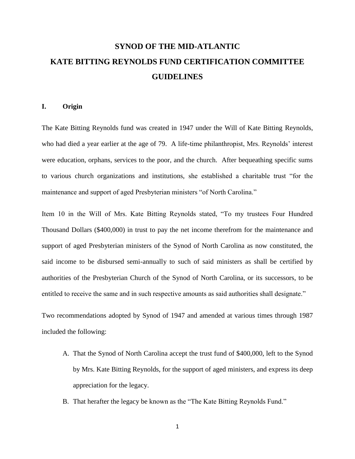# **SYNOD OF THE MID-ATLANTIC KATE BITTING REYNOLDS FUND CERTIFICATION COMMITTEE GUIDELINES**

#### **I. Origin**

The Kate Bitting Reynolds fund was created in 1947 under the Will of Kate Bitting Reynolds, who had died a year earlier at the age of 79. A life-time philanthropist, Mrs. Reynolds' interest were education, orphans, services to the poor, and the church. After bequeathing specific sums to various church organizations and institutions, she established a charitable trust "for the maintenance and support of aged Presbyterian ministers "of North Carolina."

Item 10 in the Will of Mrs. Kate Bitting Reynolds stated, "To my trustees Four Hundred Thousand Dollars (\$400,000) in trust to pay the net income therefrom for the maintenance and support of aged Presbyterian ministers of the Synod of North Carolina as now constituted, the said income to be disbursed semi-annually to such of said ministers as shall be certified by authorities of the Presbyterian Church of the Synod of North Carolina, or its successors, to be entitled to receive the same and in such respective amounts as said authorities shall designate."

Two recommendations adopted by Synod of 1947 and amended at various times through 1987 included the following:

- A. That the Synod of North Carolina accept the trust fund of \$400,000, left to the Synod by Mrs. Kate Bitting Reynolds, for the support of aged ministers, and express its deep appreciation for the legacy.
- B. That herafter the legacy be known as the "The Kate Bitting Reynolds Fund."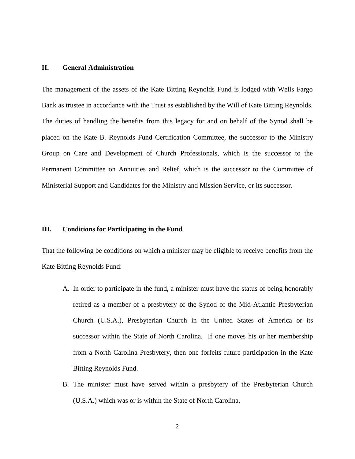## **II. General Administration**

The management of the assets of the Kate Bitting Reynolds Fund is lodged with Wells Fargo Bank as trustee in accordance with the Trust as established by the Will of Kate Bitting Reynolds. The duties of handling the benefits from this legacy for and on behalf of the Synod shall be placed on the Kate B. Reynolds Fund Certification Committee, the successor to the Ministry Group on Care and Development of Church Professionals, which is the successor to the Permanent Committee on Annuities and Relief, which is the successor to the Committee of Ministerial Support and Candidates for the Ministry and Mission Service, or its successor.

#### **III. Conditions for Participating in the Fund**

That the following be conditions on which a minister may be eligible to receive benefits from the Kate Bitting Reynolds Fund:

- A. In order to participate in the fund, a minister must have the status of being honorably retired as a member of a presbytery of the Synod of the Mid-Atlantic Presbyterian Church (U.S.A.), Presbyterian Church in the United States of America or its successor within the State of North Carolina. If one moves his or her membership from a North Carolina Presbytery, then one forfeits future participation in the Kate Bitting Reynolds Fund.
- B. The minister must have served within a presbytery of the Presbyterian Church (U.S.A.) which was or is within the State of North Carolina.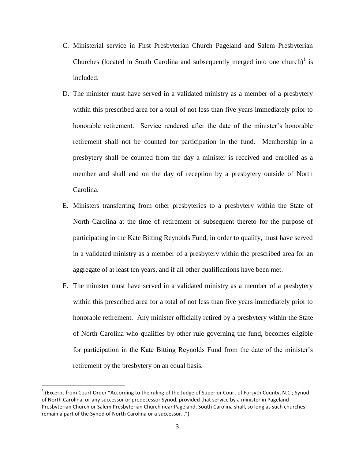- C. Ministerial service in First Presbyterian Church Pageland and Salem Presbyterian Churches (located in South Carolina and subsequently merged into one church) $1$  is included.
- D. The minister must have served in a validated ministry as a member of a presbytery within this prescribed area for a total of not less than five years immediately prior to honorable retirement. Service rendered after the date of the minister's honorable retirement shall not be counted for participation in the fund. Membership in a presbytery shall be counted from the day a minister is received and enrolled as a member and shall end on the day of reception by a presbytery outside of North Carolina.
- E. Ministers transferring from other presbyteries to a presbytery within the State of North Carolina at the time of retirement or subsequent thereto for the purpose of participating in the Kate Bitting Reynolds Fund, in order to qualify, must have served in a validated ministry as a member of a presbytery within the prescribed area for an aggregate of at least ten years, and if all other qualifications have been met.
- F. The minister must have served in a validated ministry as a member of a presbytery within this prescribed area for a total of not less than five years immediately prior to honorable retirement. Any minister officially retired by a presbytery within the State of North Carolina who qualifies by other rule governing the fund, becomes eligible for participation in the Kate Bitting Reynolds Fund from the date of the minister's retirement by the presbytery on an equal basis.

 $\overline{a}$ 

 $1$  (Excerpt from Court Order "According to the ruling of the Judge of Superior Court of Forsyth County, N.C.; Synod of North Carolina, or any successor or predecessor Synod, provided that service by a minister in Pageland Presbyterian Church or Salem Presbyterian Church near Pageland, South Carolina shall, so long as such churches remain a part of the Synod of North Carolina or a successor…")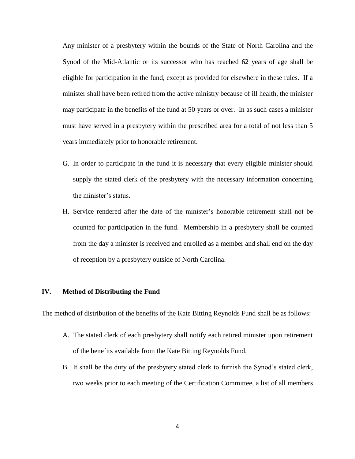Any minister of a presbytery within the bounds of the State of North Carolina and the Synod of the Mid-Atlantic or its successor who has reached 62 years of age shall be eligible for participation in the fund, except as provided for elsewhere in these rules. If a minister shall have been retired from the active ministry because of ill health, the minister may participate in the benefits of the fund at 50 years or over. In as such cases a minister must have served in a presbytery within the prescribed area for a total of not less than 5 years immediately prior to honorable retirement.

- G. In order to participate in the fund it is necessary that every eligible minister should supply the stated clerk of the presbytery with the necessary information concerning the minister's status.
- H. Service rendered after the date of the minister's honorable retirement shall not be counted for participation in the fund. Membership in a presbytery shall be counted from the day a minister is received and enrolled as a member and shall end on the day of reception by a presbytery outside of North Carolina.

## **IV. Method of Distributing the Fund**

The method of distribution of the benefits of the Kate Bitting Reynolds Fund shall be as follows:

- A. The stated clerk of each presbytery shall notify each retired minister upon retirement of the benefits available from the Kate Bitting Reynolds Fund.
- B. It shall be the duty of the presbytery stated clerk to furnish the Synod's stated clerk, two weeks prior to each meeting of the Certification Committee, a list of all members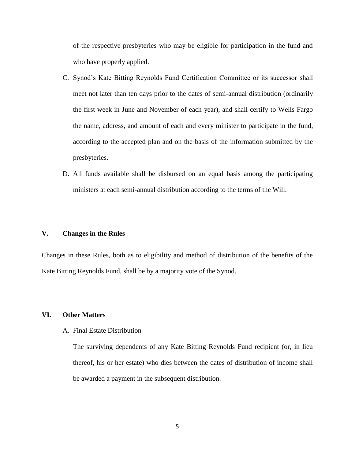of the respective presbyteries who may be eligible for participation in the fund and who have properly applied.

- C. Synod's Kate Bitting Reynolds Fund Certification Committee or its successor shall meet not later than ten days prior to the dates of semi-annual distribution (ordinarily the first week in June and November of each year), and shall certify to Wells Fargo the name, address, and amount of each and every minister to participate in the fund, according to the accepted plan and on the basis of the information submitted by the presbyteries.
- D. All funds available shall be disbursed on an equal basis among the participating ministers at each semi-annual distribution according to the terms of the Will.

## **V. Changes in the Rules**

Changes in these Rules, both as to eligibility and method of distribution of the benefits of the Kate Bitting Reynolds Fund, shall be by a majority vote of the Synod.

#### **VI. Other Matters**

A. Final Estate Distribution

The surviving dependents of any Kate Bitting Reynolds Fund recipient (or, in lieu thereof, his or her estate) who dies between the dates of distribution of income shall be awarded a payment in the subsequent distribution.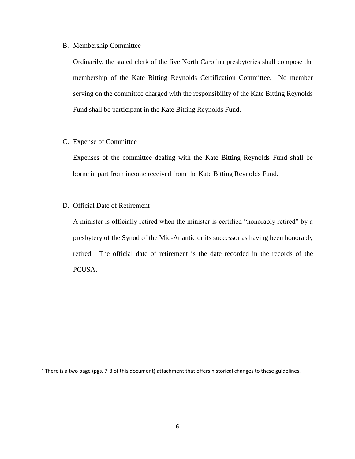#### B. Membership Committee

Ordinarily, the stated clerk of the five North Carolina presbyteries shall compose the membership of the Kate Bitting Reynolds Certification Committee. No member serving on the committee charged with the responsibility of the Kate Bitting Reynolds Fund shall be participant in the Kate Bitting Reynolds Fund.

# C. Expense of Committee

Expenses of the committee dealing with the Kate Bitting Reynolds Fund shall be borne in part from income received from the Kate Bitting Reynolds Fund.

# D. Official Date of Retirement

A minister is officially retired when the minister is certified "honorably retired" by a presbytery of the Synod of the Mid-Atlantic or its successor as having been honorably retired. The official date of retirement is the date recorded in the records of the PCUSA.

 $^2$  There is a two page (pgs. 7-8 of this document) attachment that offers historical changes to these guidelines.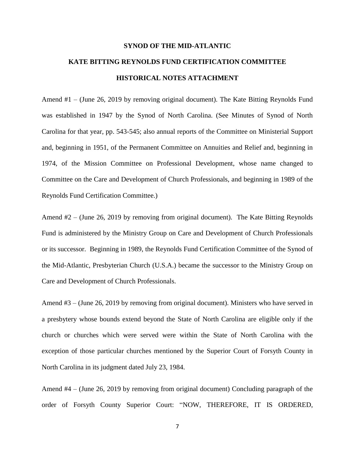# **SYNOD OF THE MID-ATLANTIC KATE BITTING REYNOLDS FUND CERTIFICATION COMMITTEE HISTORICAL NOTES ATTACHMENT**

Amend #1 – (June 26, 2019 by removing original document). The Kate Bitting Reynolds Fund was established in 1947 by the Synod of North Carolina. (See Minutes of Synod of North Carolina for that year, pp. 543-545; also annual reports of the Committee on Ministerial Support and, beginning in 1951, of the Permanent Committee on Annuities and Relief and, beginning in 1974, of the Mission Committee on Professional Development, whose name changed to Committee on the Care and Development of Church Professionals, and beginning in 1989 of the Reynolds Fund Certification Committee.)

Amend #2 – (June 26, 2019 by removing from original document). The Kate Bitting Reynolds Fund is administered by the Ministry Group on Care and Development of Church Professionals or its successor. Beginning in 1989, the Reynolds Fund Certification Committee of the Synod of the Mid-Atlantic, Presbyterian Church (U.S.A.) became the successor to the Ministry Group on Care and Development of Church Professionals.

Amend #3 – (June 26, 2019 by removing from original document). Ministers who have served in a presbytery whose bounds extend beyond the State of North Carolina are eligible only if the church or churches which were served were within the State of North Carolina with the exception of those particular churches mentioned by the Superior Court of Forsyth County in North Carolina in its judgment dated July 23, 1984.

Amend #4 – (June 26, 2019 by removing from original document) Concluding paragraph of the order of Forsyth County Superior Court: "NOW, THEREFORE, IT IS ORDERED,